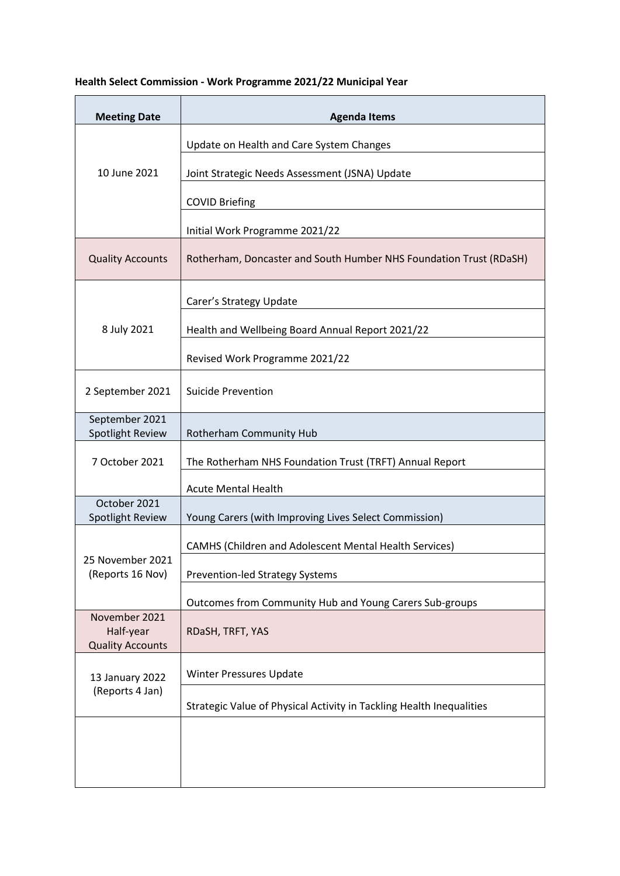## **Health Select Commission - Work Programme 2021/22 Municipal Year**

| <b>Meeting Date</b>                                   | <b>Agenda Items</b>                                                  |
|-------------------------------------------------------|----------------------------------------------------------------------|
| 10 June 2021                                          | Update on Health and Care System Changes                             |
|                                                       | Joint Strategic Needs Assessment (JSNA) Update                       |
|                                                       | <b>COVID Briefing</b>                                                |
|                                                       | Initial Work Programme 2021/22                                       |
| <b>Quality Accounts</b>                               | Rotherham, Doncaster and South Humber NHS Foundation Trust (RDaSH)   |
| 8 July 2021                                           | Carer's Strategy Update                                              |
|                                                       | Health and Wellbeing Board Annual Report 2021/22                     |
|                                                       | Revised Work Programme 2021/22                                       |
| 2 September 2021                                      | <b>Suicide Prevention</b>                                            |
| September 2021<br>Spotlight Review                    | Rotherham Community Hub                                              |
| 7 October 2021                                        | The Rotherham NHS Foundation Trust (TRFT) Annual Report              |
|                                                       | <b>Acute Mental Health</b>                                           |
| October 2021<br>Spotlight Review                      | Young Carers (with Improving Lives Select Commission)                |
| 25 November 2021<br>(Reports 16 Nov)                  | CAMHS (Children and Adolescent Mental Health Services)               |
|                                                       | <b>Prevention-led Strategy Systems</b>                               |
|                                                       | Outcomes from Community Hub and Young Carers Sub-groups              |
| November 2021<br>Half-year<br><b>Quality Accounts</b> | RDaSH, TRFT, YAS                                                     |
| 13 January 2022<br>(Reports 4 Jan)                    | <b>Winter Pressures Update</b>                                       |
|                                                       | Strategic Value of Physical Activity in Tackling Health Inequalities |
|                                                       |                                                                      |